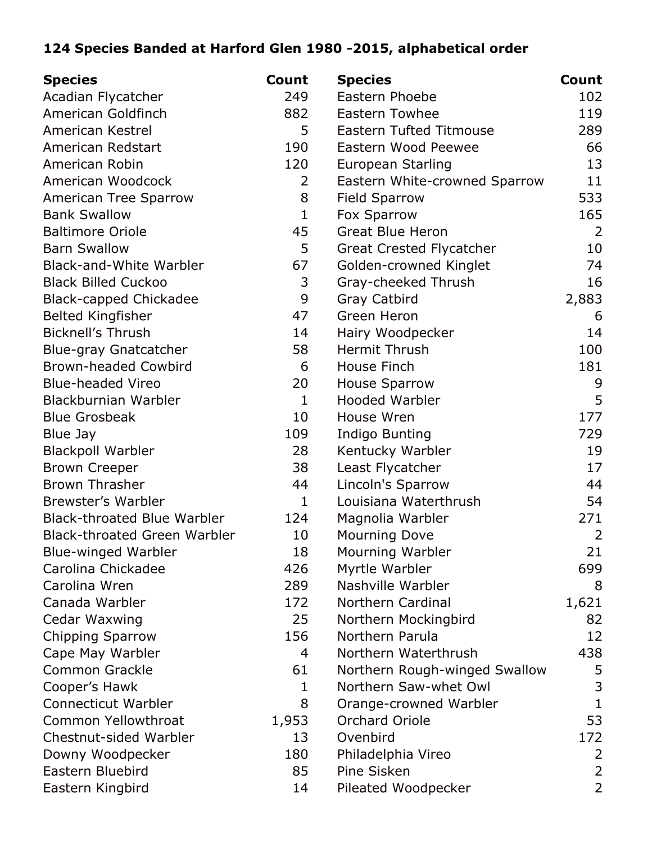## **124 Species Banded at Harford Glen 1980 -2015, alphabetical order**

| <b>Species</b>                      | Count        | <b>Species</b>                  | Count          |
|-------------------------------------|--------------|---------------------------------|----------------|
| Acadian Flycatcher                  | 249          | Eastern Phoebe                  | 102            |
| American Goldfinch                  | 882          | <b>Eastern Towhee</b>           | 119            |
| American Kestrel                    | 5            | <b>Eastern Tufted Titmouse</b>  | 289            |
| American Redstart                   | 190          | Eastern Wood Peewee             | 66             |
| American Robin                      | 120          | European Starling               | 13             |
| American Woodcock                   | 2            | Eastern White-crowned Sparrow   | 11             |
| American Tree Sparrow               | 8            | <b>Field Sparrow</b>            | 533            |
| <b>Bank Swallow</b>                 | $\mathbf{1}$ | Fox Sparrow                     | 165            |
| <b>Baltimore Oriole</b>             | 45           | <b>Great Blue Heron</b>         | 2              |
| <b>Barn Swallow</b>                 | 5            | <b>Great Crested Flycatcher</b> | 10             |
| <b>Black-and-White Warbler</b>      | 67           | Golden-crowned Kinglet          | 74             |
| <b>Black Billed Cuckoo</b>          | 3            | Gray-cheeked Thrush             | 16             |
| <b>Black-capped Chickadee</b>       | 9            | <b>Gray Catbird</b>             | 2,883          |
| <b>Belted Kingfisher</b>            | 47           | Green Heron                     | 6              |
| <b>Bicknell's Thrush</b>            | 14           | Hairy Woodpecker                | 14             |
| <b>Blue-gray Gnatcatcher</b>        | 58           | Hermit Thrush                   | 100            |
| <b>Brown-headed Cowbird</b>         | 6            | House Finch                     | 181            |
| <b>Blue-headed Vireo</b>            | 20           | <b>House Sparrow</b>            | 9              |
| Blackburnian Warbler                | $\mathbf{1}$ | <b>Hooded Warbler</b>           | 5              |
| <b>Blue Grosbeak</b>                | 10           | House Wren                      | 177            |
| Blue Jay                            | 109          | <b>Indigo Bunting</b>           | 729            |
| <b>Blackpoll Warbler</b>            | 28           | Kentucky Warbler                | 19             |
| <b>Brown Creeper</b>                | 38           | Least Flycatcher                | 17             |
| <b>Brown Thrasher</b>               | 44           | Lincoln's Sparrow               | 44             |
| Brewster's Warbler                  | 1            | Louisiana Waterthrush           | 54             |
| <b>Black-throated Blue Warbler</b>  | 124          | Magnolia Warbler                | 271            |
| <b>Black-throated Green Warbler</b> | 10           | <b>Mourning Dove</b>            | $\overline{2}$ |
| <b>Blue-winged Warbler</b>          | 18           | Mourning Warbler                | 21             |
| Carolina Chickadee                  | 426          | Myrtle Warbler                  | 699            |
| Carolina Wren                       | 289          | Nashville Warbler               | 8              |
| Canada Warbler                      | 172          | Northern Cardinal               | 1,621          |
| Cedar Waxwing                       | 25           | Northern Mockingbird            | 82             |
| <b>Chipping Sparrow</b>             | 156          | Northern Parula                 | 12             |
| Cape May Warbler                    | 4            | Northern Waterthrush            | 438            |
| <b>Common Grackle</b>               | 61           | Northern Rough-winged Swallow   | 5              |
| Cooper's Hawk                       | 1            | Northern Saw-whet Owl           | 3              |
| <b>Connecticut Warbler</b>          | 8            | Orange-crowned Warbler          | 1              |
| Common Yellowthroat                 | 1,953        | <b>Orchard Oriole</b>           | 53             |
| Chestnut-sided Warbler              | 13           | Ovenbird                        | 172            |
| Downy Woodpecker                    | 180          | Philadelphia Vireo              | 2              |
| Eastern Bluebird                    | 85           | Pine Sisken                     | $\overline{2}$ |
| Eastern Kingbird                    | 14           | Pileated Woodpecker             | $\overline{2}$ |